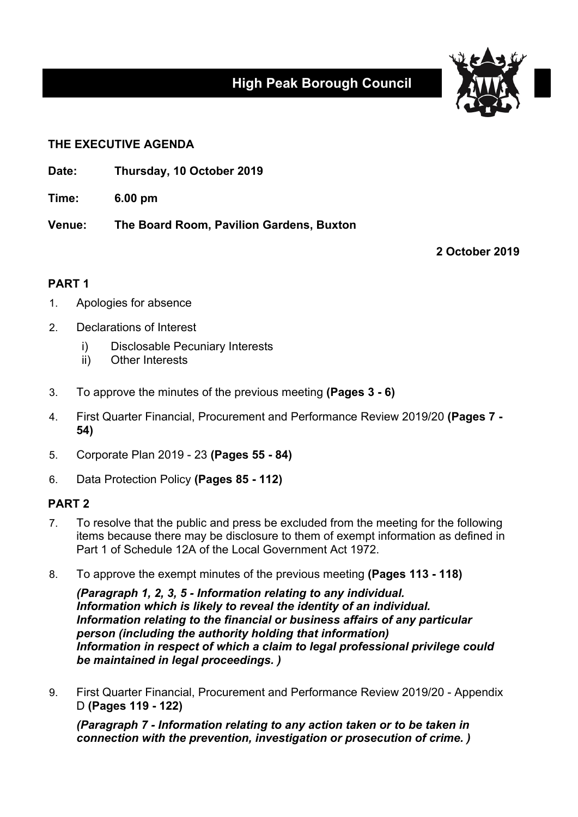

## **THE EXECUTIVE AGENDA**

**Date: Thursday, 10 October 2019**

**Time: 6.00 pm**

**Venue: The Board Room, Pavilion Gardens, Buxton**

**2 October 2019**

## **PART 1**

- 1. Apologies for absence
- 2. Declarations of Interest
	- i) Disclosable Pecuniary Interests
	- ii) Other Interests
- 3. To approve the minutes of the previous meeting **(Pages 3 - 6)**
- 4. First Quarter Financial, Procurement and Performance Review 2019/20 **(Pages 7 - 54)**
- 5. Corporate Plan 2019 23 **(Pages 55 - 84)**
- 6. Data Protection Policy **(Pages 85 - 112)**

## **PART 2**

- 7. To resolve that the public and press be excluded from the meeting for the following items because there may be disclosure to them of exempt information as defined in Part 1 of Schedule 12A of the Local Government Act 1972.
- 8. To approve the exempt minutes of the previous meeting **(Pages 113 - 118)**

*(Paragraph 1, 2, 3, 5 - Information relating to any individual. Information which is likely to reveal the identity of an individual. Information relating to the financial or business affairs of any particular person (including the authority holding that information) Information in respect of which a claim to legal professional privilege could be maintained in legal proceedings. )*

9. First Quarter Financial, Procurement and Performance Review 2019/20 - Appendix D **(Pages 119 - 122)**

*(Paragraph 7 - Information relating to any action taken or to be taken in connection with the prevention, investigation or prosecution of crime. )*